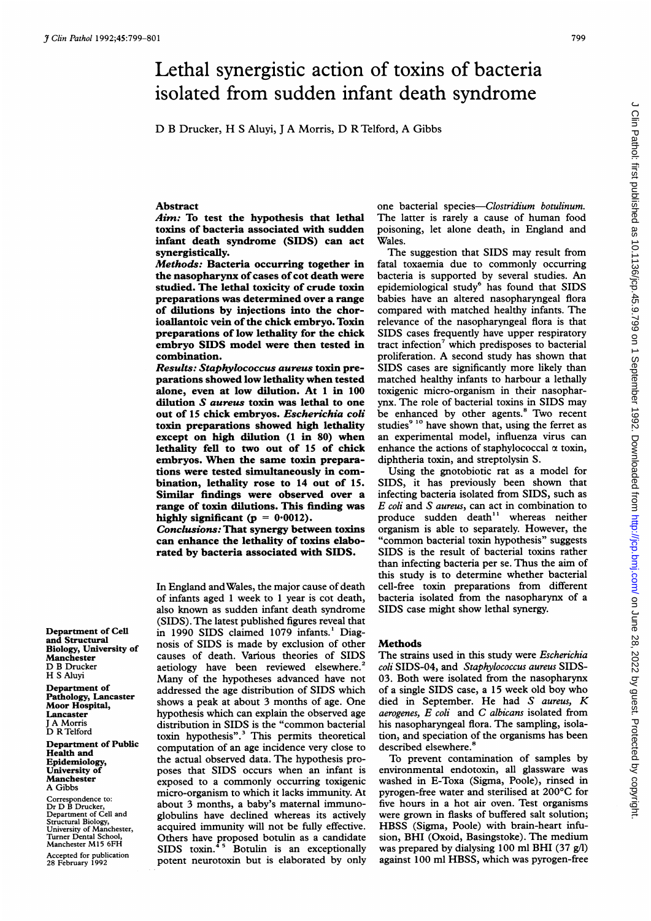# Lethal synergistic action of toxins of bacteria isolated from sudden infant death syndrome

D B Drucker, H <sup>S</sup> Aluyi, <sup>J</sup> A Morris, D R Telford, A Gibbs

#### Abstract

Aim: To test the hypothesis that lethal toxins of bacteria associated with sudden infant death syndrome (SIDS) can act synergistically.

Methods: Bacteria occurring together in the nasopharynx of cases of cot death were studied. The lethal toxicity of crude toxin preparations was determined over a range of dilutions by injections into the chorioallantoic vein of the chick embryo. Toxin preparations of low lethality for the chick embryo SIDS model were then tested in combination.

Results: Staphylococcus aureus toxin preparations showed low lethality when tested alone, even at low dilution. At <sup>1</sup> in 100 dilution S aureus toxin was lethal to one out of 15 chick embryos. Escherichia coli toxin preparations showed high lethality except on high dilution (1 in 80) when lethality fell to two out of 15 of chick embryos. When the same toxin preparations were tested simultaneously in combination, lethality rose to 14 out of 15. Similar findings were observed over a range of toxin dilutions. This finding was highly significant ( $p = 0.0012$ ).

Conclusions: That synergy between toxins can enhance the lethality of toxins elaborated by bacteria associated with SIDS.

In England andWales, the major cause of death of infants aged <sup>1</sup> week to <sup>1</sup> year is cot death, also known as sudden infant death syndrome (SIDS). The latest published figures reveal that in 1990 SIDS claimed 1079 infants.' Diagnosis of SIDS is made by exclusion of other causes of death. Various theories of SIDS aetiology have been reviewed elsewhere.<sup>2</sup> Many of the hypotheses advanced have not addressed the age distribution of SIDS which shows a peak at about 3 months of age. One hypothesis which can explain the observed age distribution in SIDS is the "common bacterial toxin hypothesis".3 This permits theoretical computation of an age incidence very close to the actual observed data. The hypothesis proposes that SIDS occurs when an infant is exposed to a commonly occurring toxigenic micro-organism to which it lacks immunity. At about 3 months, a baby's maternal immunoglobulins have declined whereas its actively acquired immunity will not be fully effective. Others have proposed botulin as a candidate SIDS toxin. $45$  Botulin is an exceptionally potent neurotoxin but is elaborated by only

one bacterial species-Clostridium botulinum. The latter is rarely <sup>a</sup> cause of human food poisoning, let alone death, in England and Wales.

The suggestion that SIDS may result from fatal toxaemia due to commonly occurring bacteria is supported by several studies. An epidemiological study<sup>6</sup> has found that SIDS babies have an altered nasopharyngeal flora compared with matched healthy infants. The relevance of the nasopharyngeal flora is that SIDS cases frequently have upper respiratory tract infection<sup>7</sup> which predisposes to bacterial proliferation. A second study has shown that SIDS cases are significantly more likely than matched healthy infants to harbour a lethally toxigenic micro-organism in their nasopharynx. The role of bacterial toxins in SIDS may be enhanced by other agents.<sup>8</sup> Two recent studies<sup>9 10</sup> have shown that, using the ferret as an experimental model, influenza virus can enhance the actions of staphylococcal  $\alpha$  toxin, diphtheria toxin, and streptolysin S.

Using the gnotobiotic rat as a model for SIDS, it has previously been shown that infecting bacteria isolated from SIDS, such as E coli and S aureus, can act in combination to produce sudden death" whereas neither organism is able to separately. However, the "common bacterial toxin hypothesis" suggests SIDS is the result of bacterial toxins rather than infecting bacteria per se. Thus the aim of this study is to determine whether bacterial cell-free toxin preparations from different bacteria isolated from the nasopharynx of a SIDS case might show lethal synergy.

## Methods

The strains used in this study were Escherichia coli SIDS-04, and Staphylococcus aureus SIDS-03. Both were isolated from the nasopharynx of <sup>a</sup> single SIDS case, <sup>a</sup> 15 week old boy who died in September. He had S aureus, K aerogenes, E coli and C albicans isolated from his nasopharyngeal flora. The sampling, isolation, and speciation of the organisms has been described elsewhere.<sup>8</sup>

To prevent contamination of samples by environmental endotoxin, all glassware was washed in E-Toxa (Sigma, Poole), rinsed in pyrogen-free water and sterilised at 200°C for five hours in a hot air oven. Test organisms were grown in flasks of buffered salt solution; HBSS (Sigma, Poole) with brain-heart infusion, BHI (Oxoid, Basingstoke). The medium was prepared by dialysing 100 ml BHI (37 g/l) against 100 ml HBSS, which was pyrogen-free

Department of Cell and Structural Biology, University of Manchester D B Drucker H <sup>S</sup> Aluyi

Department of Pathology, Lancaster Moor Hospital, Lancaster <sup>J</sup> A Morris D R Telford

Department of Public Health and Epidemiology, University of Manchester A Gibbs

Correspondence to: Dr D B Drucker, Department of Cell and Structural Biology, University of Manchester, Turner Dental School, Manchester M15 6FH

Accepted for publication 28 February 1992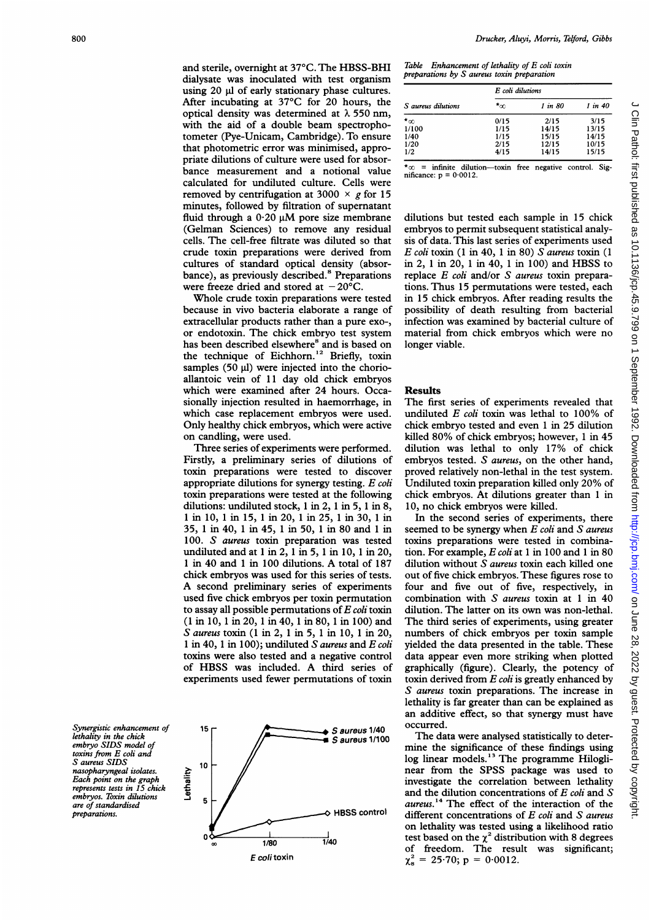and sterile, overnight at 37°C. The HBSS-BHI dialysate was inoculated with test organism using 20 µl of early stationary phase cultures. After incubating at 37°C for 20 hours, the optical density was determined at  $\lambda$  550 nm, with the aid of a double beam spectrophotometer (Pye-Unicam, Cambridge). To ensure that photometric error was minimised, appropriate dilutions of culture were used for absorbance measurement and a notional value calculated for undiluted culture. Cells were removed by centrifugation at 3000  $\times$  g for 15 minutes, followed by filtration of supernatant fluid through a  $0.20 \mu M$  pore size membrane (Gelman Sciences) to remove any residual cells. The cell-free filtrate was diluted so that crude toxin preparations were derived from cultures of standard optical density (absorbance), as previously described.<sup>8</sup> Preparations were freeze dried and stored at  $-20^{\circ}$ C.

Whole crude toxin preparations were tested because in vivo bacteria elaborate a range of extracellular products rather than a pure exo-, or endotoxin. The chick embryo test system has been described elsewhere° and is based on the technique of Eichhorn.<sup>12</sup> Briefly, toxin samples  $(50 \text{ µ})$  were injected into the chorioallantoic vein of 11 day old chick embryos which were examined after 24 hours. Occasionally injection resulted in haemorrhage, in which case replacement embryos were used. Only healthy chick embryos, which were active on candling, were used.

Three series of experiments were performed. Firstly, a preliminary series of dilutions of toxin preparations were tested to discover appropriate dilutions for synergy testing. E coli toxin preparations were tested at the following dilutions: undiluted stock, <sup>1</sup> in 2, <sup>1</sup> in 5, <sup>1</sup> in 8, 1 in 10, <sup>1</sup> in 15, <sup>1</sup> in 20, <sup>1</sup> in 25, <sup>1</sup> in 30, <sup>1</sup> in 35, <sup>1</sup> in 40, <sup>1</sup> in 45, <sup>1</sup> in 50, <sup>1</sup> in 80 and <sup>1</sup> in 100. S aureus toxin preparation was tested undiluted and at <sup>1</sup> in 2, <sup>1</sup> in 5, <sup>1</sup> in 10, <sup>1</sup> in 20, <sup>1</sup> in 40 and <sup>1</sup> in <sup>100</sup> dilutions. A total of <sup>187</sup> chick embryos was used for this series of tests. A second preliminary series of experiments used five chick embryos per toxin permutation to assay all possible permutations of  $E$  coli toxin (1 in 10, <sup>1</sup> in 20, <sup>1</sup> in 40, <sup>1</sup> in 80, <sup>1</sup> in 100) and S aureus toxin (1 in 2, <sup>1</sup> in 5, <sup>1</sup> in 10, <sup>1</sup> in 20, <sup>1</sup> in 40, <sup>1</sup> in 100); undiluted S aureus and E coli toxins were also tested and a negative control of HBSS was included. A third series of experiments used fewer permutations of toxin

Synergistic enhancement of lethality in the chick embryo SIDS model of toxins from E coli and S aureus SIDS nasopharyngeal isolates. Each point on the graph represents tests in 15 chick embryos. Toxin dilutions are of standardised preparations.



| Table Enhancement of lethality of E coli toxin |
|------------------------------------------------|
| preparations by S aureus toxin preparation     |

|                    | E coli dilutions |         |             |
|--------------------|------------------|---------|-------------|
| S aureus dilutions | *∞               | 1 in 80 | $1$ in $40$ |
| $\star_{\infty}$   | 0/15             | 2/15    | 3/15        |
| 1/100              | 1/15             | 14/15   | 13/15       |
| 1/40               | 1/15             | 15/15   | 14/15       |
| 1/20               | 2/15             | 12/15   | 10/15       |
| 1/2                | 4/15             | 14/15   | 15/15       |

 $m =$  infinite dilution-toxin free negative control. Significance:  $p = 0.0012$ .

dilutions but tested each sample in 15 chick embryos to permit subsequent statistical analysis of data. This last series of experiments used E coli toxin (1 in 40, 1 in 80) S aureus toxin (1 in 2, <sup>1</sup> in 20, <sup>1</sup> in 40, <sup>1</sup> in 100) and HBSS to replace E coli and/or S aureus toxin preparations. Thus 15 permutations were tested, each in 15 chick embryos. After reading results the possibility of death resulting from bacterial infection was examined by bacterial culture of material from chick embryos which were no longer viable.

#### Results

The first series of experiments revealed that undiluted  $E$  coli toxin was lethal to 100% of chick embryo tested and even <sup>1</sup> in 25 dilution killed 80% of chick embryos; however, <sup>1</sup> in 45 dilution was lethal to only 17% of chick embryos tested. S aureus, on the other hand, proved relatively non-lethal in the test system. Undiluted toxin preparation killed only 20% of chick embryos. At dilutions greater than <sup>1</sup> in 10, no chick embryos were killed.

In the second series of experiments, there seemed to be synergy when  $E$  coli and  $S$  aureus toxins preparations were tested in combination. For example,  $E$  coli at 1 in 100 and 1 in 80 dilution without S aureus toxin each killed one out of five chick embryos. These figures rose to four and five out of five, respectively, in combination with S aureus toxin at <sup>1</sup> in 40 dilution. The latter on its own was non-lethal. The third series of experiments, using greater numbers of chick embryos per toxin sample yielded the data presented in the table. These data appear even more striking when plotted graphically (figure). Clearly, the potency of toxin derived from  $E$  *coli* is greatly enhanced by S aureus toxin preparations. The increase in lethality is far greater than can be explained as an additive effect, so that synergy must have occurred.

The data were analysed statistically to determine the significance of these findings using log linear models.'3 The programme Hiloglinear from the SPSS package was used to investigate the correlation between lethality and the dilution concentrations of E coli and S aureus.<sup>14</sup> The effect of the interaction of the different concentrations of  $E$  coli and  $S$  aureus on lethality was tested using a likelihood ratio test based on the  $\chi^2$  distribution with 8 degrees of freedom. The result was significant;  $\chi^2_{\rm s} = 25.70; \, \text{p} = 0.0012.$